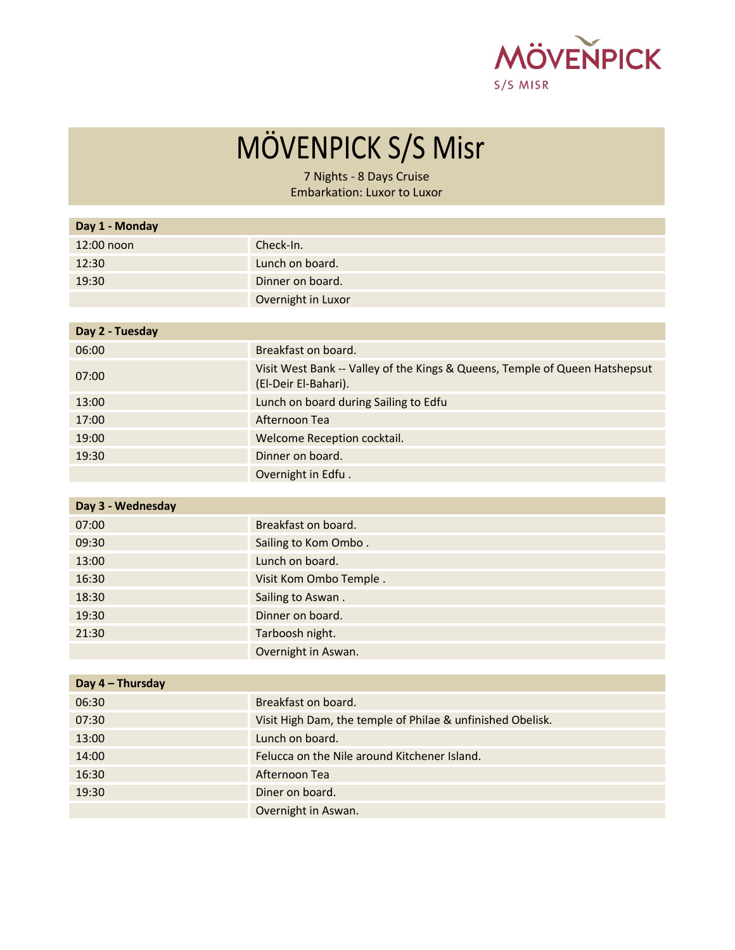

## MÖVENPICK S/S Misr

7 Nights - 8 Days Cruise Embarkation: Luxor to Luxor

| Day 1 - Monday    |                                                                                                     |
|-------------------|-----------------------------------------------------------------------------------------------------|
| 12:00 noon        | Check-In.                                                                                           |
| 12:30             | Lunch on board.                                                                                     |
| 19:30             | Dinner on board.                                                                                    |
|                   | Overnight in Luxor                                                                                  |
|                   |                                                                                                     |
| Day 2 - Tuesday   |                                                                                                     |
| 06:00             | Breakfast on board.                                                                                 |
| 07:00             | Visit West Bank -- Valley of the Kings & Queens, Temple of Queen Hatshepsut<br>(El-Deir El-Bahari). |
| 13:00             | Lunch on board during Sailing to Edfu                                                               |
| 17:00             | Afternoon Tea                                                                                       |
| 19:00             | Welcome Reception cocktail.                                                                         |
| 19:30             | Dinner on board.                                                                                    |
|                   | Overnight in Edfu.                                                                                  |
|                   |                                                                                                     |
| Day 3 - Wednesday |                                                                                                     |
| 07:00             | Breakfast on board.                                                                                 |
| 09:30             | Sailing to Kom Ombo.                                                                                |
| 12.00             | المعاصم والمرض والمسردا                                                                             |

| 13:00 | Lunch on board.        |
|-------|------------------------|
| 16:30 | Visit Kom Ombo Temple. |
| 18:30 | Sailing to Aswan.      |
| 19:30 | Dinner on board.       |
| 21:30 | Tarboosh night.        |
|       | Overnight in Aswan.    |

| Day 4 - Thursday |                                                            |
|------------------|------------------------------------------------------------|
| 06:30            | Breakfast on board.                                        |
| 07:30            | Visit High Dam, the temple of Philae & unfinished Obelisk. |
| 13:00            | Lunch on board.                                            |
| 14:00            | Felucca on the Nile around Kitchener Island.               |
| 16:30            | Afternoon Tea                                              |
| 19:30            | Diner on board.                                            |
|                  | Overnight in Aswan.                                        |